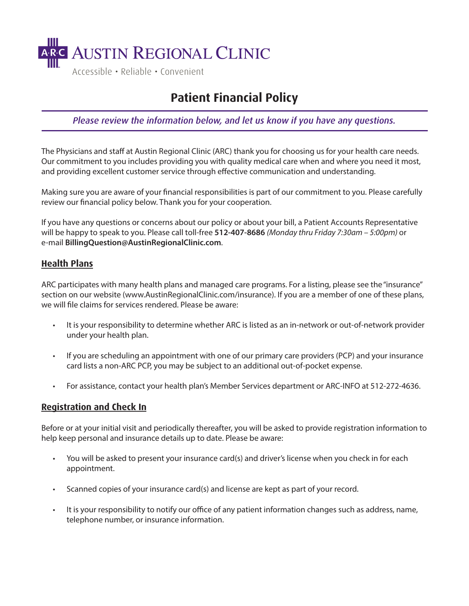

# **Patient Financial Policy**

*Please review the information below, and let us know if you have any questions.*

The Physicians and staff at Austin Regional Clinic (ARC) thank you for choosing us for your health care needs. Our commitment to you includes providing you with quality medical care when and where you need it most, and providing excellent customer service through effective communication and understanding.

Making sure you are aware of your financial responsibilities is part of our commitment to you. Please carefully review our financial policy below. Thank you for your cooperation.

If you have any questions or concerns about our policy or about your bill, a Patient Accounts Representative will be happy to speak to you. Please call toll-free **512-407-8686** *(Monday thru Friday 7:30am –* 5*:00pm)* or e-mail **BillingQuestion@AustinRegionalClinic.com**.

## **Health Plans**

ARC participates with many health plans and managed care programs. For a listing, please see the"insurance" section on our website (www.AustinRegionalClinic.com/insurance). If you are a member of one of these plans, we will file claims for services rendered. Please be aware:

- It is your responsibility to determine whether ARC is listed as an in-network or out-of-network provider under your health plan.
- If you are scheduling an appointment with one of our primary care providers (PCP) and your insurance card lists a non-ARC PCP, you may be subject to an additional out-of-pocket expense.
- For assistance, contact your health plan's Member Services department or ARC-INFO at 512-272-4636.

### **Registration and Check In**

Before or at your initial visit and periodically thereafter, you will be asked to provide registration information to help keep personal and insurance details up to date. Please be aware:

- You will be asked to present your insurance card(s) and driver's license when you check in for each appointment.
- Scanned copies of your insurance card(s) and license are kept as part of your record.
- It is your responsibility to notify our office of any patient information changes such as address, name, telephone number, or insurance information.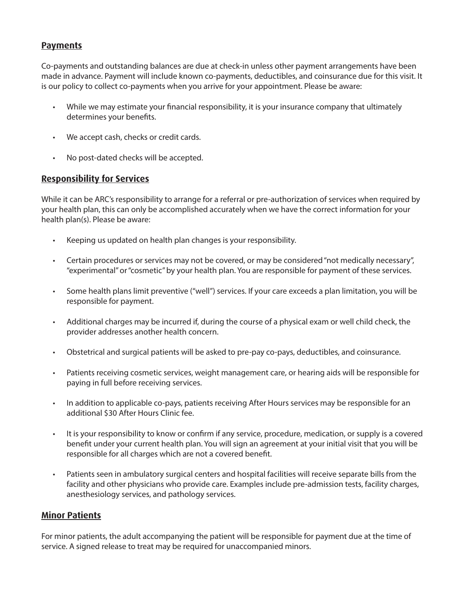# **Payments**

Co-payments and outstanding balances are due at check-in unless other payment arrangements have been made in advance. Payment will include known co-payments, deductibles, and coinsurance due for this visit. It is our policy to collect co-payments when you arrive for your appointment. Please be aware:

- While we may estimate your financial responsibility, it is your insurance company that ultimately determines your benefits.
- We accept cash, checks or credit cards.
- No post-dated checks will be accepted.

### **Responsibility for Services**

While it can be ARC's responsibility to arrange for a referral or pre-authorization of services when required by your health plan, this can only be accomplished accurately when we have the correct information for your health plan(s). Please be aware:

- Keeping us updated on health plan changes is your responsibility.
- Certain procedures or services may not be covered, or may be considered "not medically necessary", "experimental" or "cosmetic" by your health plan. You are responsible for payment of these services.
- Some health plans limit preventive ("well") services. If your care exceeds a plan limitation, you will be responsible for payment.
- Additional charges may be incurred if, during the course of a physical exam or well child check, the provider addresses another health concern.
- Obstetrical and surgical patients will be asked to pre-pay co-pays, deductibles, and coinsurance.
- Patients receiving cosmetic services, weight management care, or hearing aids will be responsible for paying in full before receiving services.
- In addition to applicable co-pays, patients receiving After Hours services may be responsible for an additional \$30 After Hours Clinic fee.
- It is your responsibility to know or confirm if any service, procedure, medication, or supply is a covered benefit under your current health plan. You will sign an agreement at your initial visit that you will be responsible for all charges which are not a covered benefit.
- Patients seen in ambulatory surgical centers and hospital facilities will receive separate bills from the facility and other physicians who provide care. Examples include pre-admission tests, facility charges, anesthesiology services, and pathology services.

# **Minor Patients**

For minor patients, the adult accompanying the patient will be responsible for payment due at the time of service. A signed release to treat may be required for unaccompanied minors.